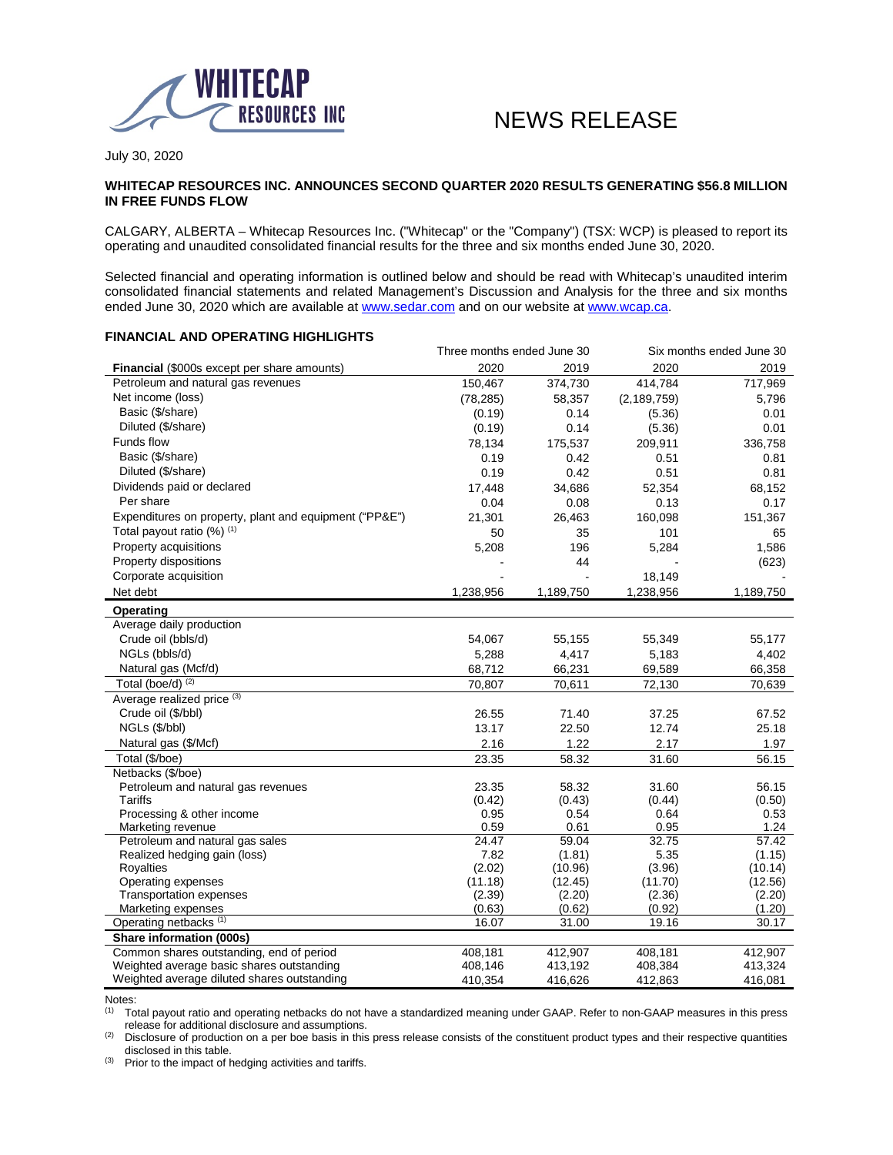

# NEWS RELEASE

#### July 30, 2020

## **WHITECAP RESOURCES INC. ANNOUNCES SECOND QUARTER 2020 RESULTS GENERATING \$56.8 MILLION IN FREE FUNDS FLOW**

CALGARY, ALBERTA – Whitecap Resources Inc. ("Whitecap" or the "Company") (TSX: WCP) is pleased to report its operating and unaudited consolidated financial results for the three and six months ended June 30, 2020.

Selected financial and operating information is outlined below and should be read with Whitecap's unaudited interim consolidated financial statements and related Management's Discussion and Analysis for the three and six months ended June 30, 2020 which are available at [www.sedar.com](http://www.sedar.com/) and on our website at [www.wcap.ca.](http://www.wcap.ca/)

# **FINANCIAL AND OPERATING HIGHLIGHTS**

|                                                        | Three months ended June 30 |           | Six months ended June 30 |           |
|--------------------------------------------------------|----------------------------|-----------|--------------------------|-----------|
| <b>Financial (\$000s except per share amounts)</b>     | 2020                       | 2019      | 2020                     | 2019      |
| Petroleum and natural gas revenues                     | 150,467                    | 374,730   | 414,784                  | 717,969   |
| Net income (loss)                                      | (78, 285)                  | 58,357    | (2, 189, 759)            | 5,796     |
| Basic (\$/share)                                       | (0.19)                     | 0.14      | (5.36)                   | 0.01      |
| Diluted (\$/share)                                     | (0.19)                     | 0.14      | (5.36)                   | 0.01      |
| <b>Funds flow</b>                                      | 78,134                     | 175,537   | 209,911                  | 336,758   |
| Basic (\$/share)                                       | 0.19                       | 0.42      | 0.51                     | 0.81      |
| Diluted (\$/share)                                     | 0.19                       | 0.42      | 0.51                     | 0.81      |
| Dividends paid or declared                             | 17,448                     | 34,686    | 52,354                   | 68,152    |
| Per share                                              | 0.04                       | 0.08      | 0.13                     | 0.17      |
| Expenditures on property, plant and equipment ("PP&E") | 21,301                     | 26,463    | 160,098                  | 151,367   |
| Total payout ratio $(\%)$ <sup>(1)</sup>               | 50                         | 35        | 101                      | 65        |
| Property acquisitions                                  | 5,208                      | 196       | 5,284                    | 1,586     |
| Property dispositions                                  |                            | 44        |                          | (623)     |
| Corporate acquisition                                  |                            |           | 18,149                   |           |
| Net debt                                               | 1,238,956                  | 1,189,750 | 1,238,956                | 1,189,750 |
| Operating                                              |                            |           |                          |           |
| Average daily production                               |                            |           |                          |           |
| Crude oil (bbls/d)                                     | 54,067                     | 55,155    | 55,349                   | 55,177    |
| NGLs (bbls/d)                                          | 5,288                      | 4,417     | 5,183                    | 4,402     |
| Natural gas (Mcf/d)                                    | 68,712                     | 66,231    | 69,589                   | 66,358    |
| Total (boe/d) <sup>(2)</sup>                           | 70.807                     | 70,611    | 72,130                   | 70,639    |
| Average realized price (3)                             |                            |           |                          |           |
| Crude oil (\$/bbl)                                     | 26.55                      | 71.40     | 37.25                    | 67.52     |
| NGLs (\$/bbl)                                          | 13.17                      | 22.50     | 12.74                    | 25.18     |
| Natural gas (\$/Mcf)                                   | 2.16                       | 1.22      | 2.17                     | 1.97      |
| Total (\$/boe)                                         | 23.35                      | 58.32     | 31.60                    | 56.15     |
| Netbacks (\$/boe)                                      |                            |           |                          |           |
| Petroleum and natural gas revenues                     | 23.35                      | 58.32     | 31.60                    | 56.15     |
| Tariffs                                                | (0.42)                     | (0.43)    | (0.44)                   | (0.50)    |
| Processing & other income                              | 0.95                       | 0.54      | 0.64                     | 0.53      |
| Marketing revenue                                      | 0.59                       | 0.61      | 0.95                     | 1.24      |
| Petroleum and natural gas sales                        | 24.47                      | 59.04     | 32.75                    | 57.42     |
| Realized hedging gain (loss)                           | 7.82                       | (1.81)    | 5.35                     | (1.15)    |
| <b>Royalties</b>                                       | (2.02)                     | (10.96)   | (3.96)                   | (10.14)   |
| Operating expenses                                     | (11.18)                    | (12.45)   | (11.70)                  | (12.56)   |
| <b>Transportation expenses</b>                         | (2.39)                     | (2.20)    | (2.36)                   | (2.20)    |
| Marketing expenses                                     | (0.63)                     | (0.62)    | (0.92)                   | (1.20)    |
| Operating netbacks <sup>(1)</sup>                      | 16.07                      | 31.00     | 19.16                    | 30.17     |
| Share information (000s)                               |                            |           |                          |           |
| Common shares outstanding, end of period               | 408,181                    | 412,907   | 408,181                  | 412,907   |
| Weighted average basic shares outstanding              | 408,146                    | 413,192   | 408,384                  | 413,324   |
| Weighted average diluted shares outstanding            | 410,354                    | 416,626   | 412,863                  | 416,081   |

Notes:

(1) Total payout ratio and operating netbacks do not have a standardized meaning under GAAP. Refer to non-GAAP measures in this press release for additional disclosure and assumptions.

 $(2)$  Disclosure of production on a per boe basis in this press release consists of the constituent product types and their respective quantities disclosed in this table.

(3) Prior to the impact of hedging activities and tariffs.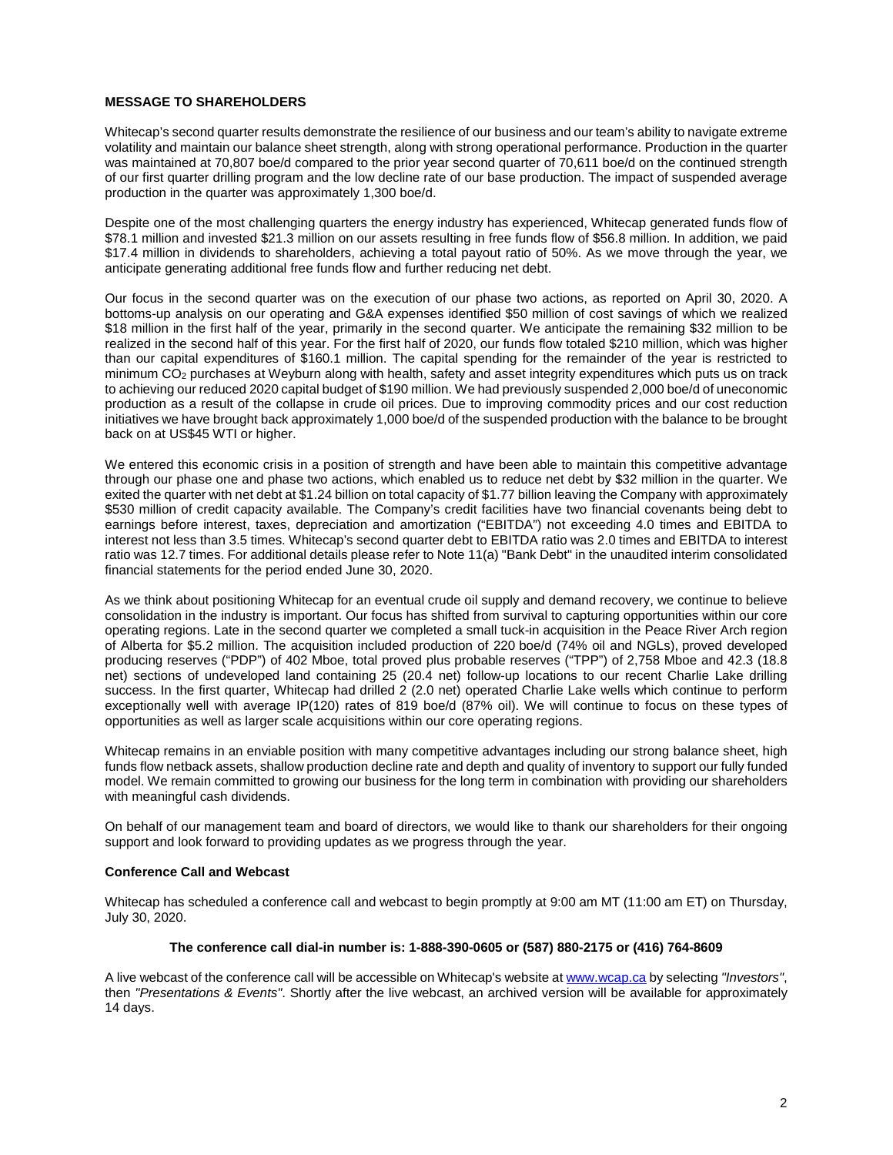# **MESSAGE TO SHAREHOLDERS**

Whitecap's second quarter results demonstrate the resilience of our business and our team's ability to navigate extreme volatility and maintain our balance sheet strength, along with strong operational performance. Production in the quarter was maintained at 70,807 boe/d compared to the prior year second quarter of 70,611 boe/d on the continued strength of our first quarter drilling program and the low decline rate of our base production. The impact of suspended average production in the quarter was approximately 1,300 boe/d.

Despite one of the most challenging quarters the energy industry has experienced, Whitecap generated funds flow of \$78.1 million and invested \$21.3 million on our assets resulting in free funds flow of \$56.8 million. In addition, we paid \$17.4 million in dividends to shareholders, achieving a total payout ratio of 50%. As we move through the year, we anticipate generating additional free funds flow and further reducing net debt.

Our focus in the second quarter was on the execution of our phase two actions, as reported on April 30, 2020. A bottoms-up analysis on our operating and G&A expenses identified \$50 million of cost savings of which we realized \$18 million in the first half of the year, primarily in the second quarter. We anticipate the remaining \$32 million to be realized in the second half of this year. For the first half of 2020, our funds flow totaled \$210 million, which was higher than our capital expenditures of \$160.1 million. The capital spending for the remainder of the year is restricted to minimum CO2 purchases at Weyburn along with health, safety and asset integrity expenditures which puts us on track to achieving our reduced 2020 capital budget of \$190 million. We had previously suspended 2,000 boe/d of uneconomic production as a result of the collapse in crude oil prices. Due to improving commodity prices and our cost reduction initiatives we have brought back approximately 1,000 boe/d of the suspended production with the balance to be brought back on at US\$45 WTI or higher.

We entered this economic crisis in a position of strength and have been able to maintain this competitive advantage through our phase one and phase two actions, which enabled us to reduce net debt by \$32 million in the quarter. We exited the quarter with net debt at \$1.24 billion on total capacity of \$1.77 billion leaving the Company with approximately \$530 million of credit capacity available. The Company's credit facilities have two financial covenants being debt to earnings before interest, taxes, depreciation and amortization ("EBITDA") not exceeding 4.0 times and EBITDA to interest not less than 3.5 times. Whitecap's second quarter debt to EBITDA ratio was 2.0 times and EBITDA to interest ratio was 12.7 times. For additional details please refer to Note 11(a) "Bank Debt" in the unaudited interim consolidated financial statements for the period ended June 30, 2020.

As we think about positioning Whitecap for an eventual crude oil supply and demand recovery, we continue to believe consolidation in the industry is important. Our focus has shifted from survival to capturing opportunities within our core operating regions. Late in the second quarter we completed a small tuck-in acquisition in the Peace River Arch region of Alberta for \$5.2 million. The acquisition included production of 220 boe/d (74% oil and NGLs), proved developed producing reserves ("PDP") of 402 Mboe, total proved plus probable reserves ("TPP") of 2,758 Mboe and 42.3 (18.8 net) sections of undeveloped land containing 25 (20.4 net) follow-up locations to our recent Charlie Lake drilling success. In the first quarter, Whitecap had drilled 2 (2.0 net) operated Charlie Lake wells which continue to perform exceptionally well with average IP(120) rates of 819 boe/d (87% oil). We will continue to focus on these types of opportunities as well as larger scale acquisitions within our core operating regions.

Whitecap remains in an enviable position with many competitive advantages including our strong balance sheet, high funds flow netback assets, shallow production decline rate and depth and quality of inventory to support our fully funded model. We remain committed to growing our business for the long term in combination with providing our shareholders with meaningful cash dividends.

On behalf of our management team and board of directors, we would like to thank our shareholders for their ongoing support and look forward to providing updates as we progress through the year.

# **Conference Call and Webcast**

Whitecap has scheduled a conference call and webcast to begin promptly at 9:00 am MT (11:00 am ET) on Thursday, July 30, 2020.

# **The conference call dial-in number is: 1-888-390-0605 or (587) 880-2175 or (416) 764-8609**

A live webcast of the conference call will be accessible on Whitecap's website a[t www.wcap.ca](https://urldefense.proofpoint.com/v2/url?u=http-3A__www.wcap.ca_&d=DwMCAw&c=euGZstcaTDllvimEN8b7jXrwqOf-v5A_CdpgnVfiiMM&r=PR-izyoHVSBNvHPF2vt3Hg&m=7nXVwhGTPBsI4GrYU4evkxkX3DxCd6DZ3U1CKd9nNvw&s=T6DXerDarKul5MALfW4NdygPvblcj4dw6Fpdw0Shm8g&e=) by selecting *"Investors"*, then *"Presentations & Events"*. Shortly after the live webcast, an archived version will be available for approximately 14 days.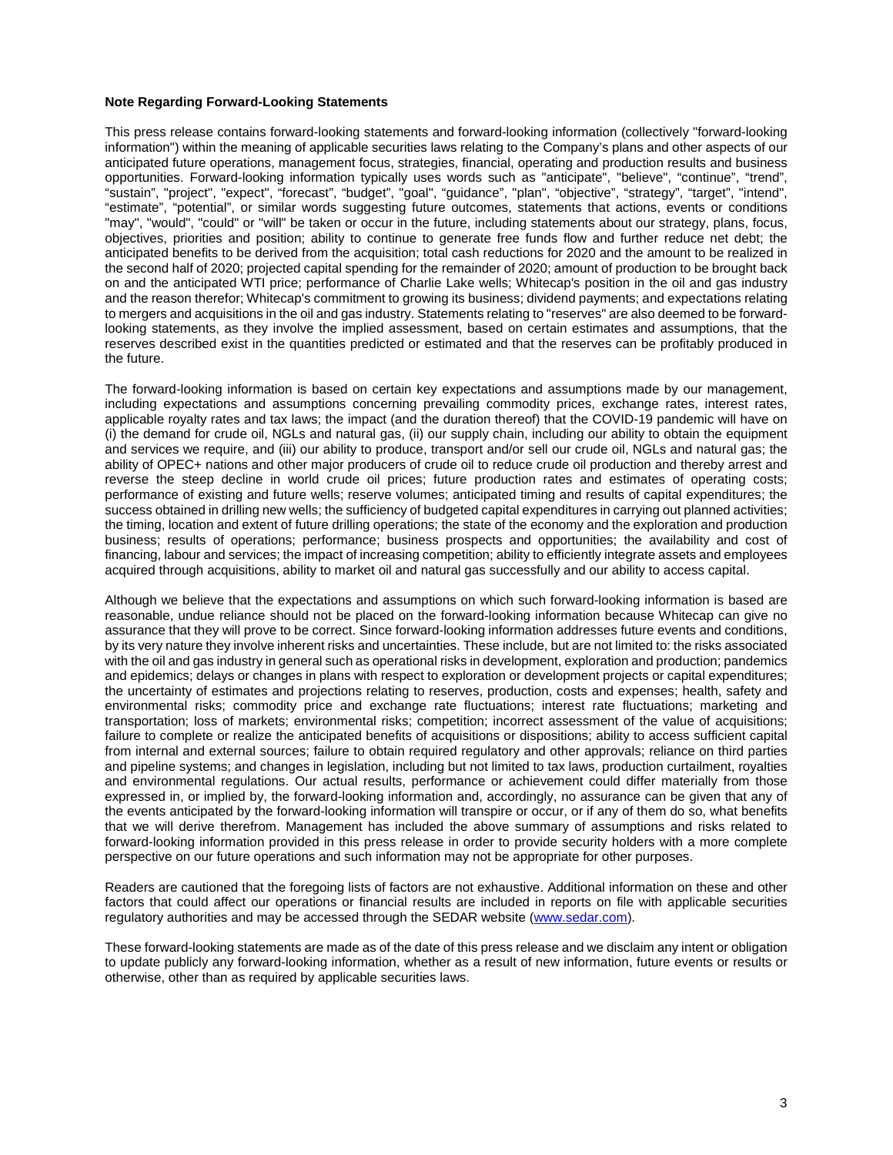## **Note Regarding Forward-Looking Statements**

This press release contains forward-looking statements and forward-looking information (collectively "forward-looking information") within the meaning of applicable securities laws relating to the Company's plans and other aspects of our anticipated future operations, management focus, strategies, financial, operating and production results and business opportunities. Forward-looking information typically uses words such as "anticipate", "believe", "continue", "trend", "sustain", "project", "expect", "forecast", "budget", "goal", "guidance", "plan", "objective", "strategy", "target", "intend", "estimate", "potential", or similar words suggesting future outcomes, statements that actions, events or conditions "may", "would", "could" or "will" be taken or occur in the future, including statements about our strategy, plans, focus, objectives, priorities and position; ability to continue to generate free funds flow and further reduce net debt; the anticipated benefits to be derived from the acquisition; total cash reductions for 2020 and the amount to be realized in the second half of 2020; projected capital spending for the remainder of 2020; amount of production to be brought back on and the anticipated WTI price; performance of Charlie Lake wells; Whitecap's position in the oil and gas industry and the reason therefor; Whitecap's commitment to growing its business; dividend payments; and expectations relating to mergers and acquisitions in the oil and gas industry. Statements relating to "reserves" are also deemed to be forwardlooking statements, as they involve the implied assessment, based on certain estimates and assumptions, that the reserves described exist in the quantities predicted or estimated and that the reserves can be profitably produced in the future.

The forward-looking information is based on certain key expectations and assumptions made by our management, including expectations and assumptions concerning prevailing commodity prices, exchange rates, interest rates, applicable royalty rates and tax laws; the impact (and the duration thereof) that the COVID-19 pandemic will have on (i) the demand for crude oil, NGLs and natural gas, (ii) our supply chain, including our ability to obtain the equipment and services we require, and (iii) our ability to produce, transport and/or sell our crude oil, NGLs and natural gas; the ability of OPEC+ nations and other major producers of crude oil to reduce crude oil production and thereby arrest and reverse the steep decline in world crude oil prices; future production rates and estimates of operating costs; performance of existing and future wells; reserve volumes; anticipated timing and results of capital expenditures; the success obtained in drilling new wells; the sufficiency of budgeted capital expenditures in carrying out planned activities; the timing, location and extent of future drilling operations; the state of the economy and the exploration and production business; results of operations; performance; business prospects and opportunities; the availability and cost of financing, labour and services; the impact of increasing competition; ability to efficiently integrate assets and employees acquired through acquisitions, ability to market oil and natural gas successfully and our ability to access capital.

Although we believe that the expectations and assumptions on which such forward-looking information is based are reasonable, undue reliance should not be placed on the forward-looking information because Whitecap can give no assurance that they will prove to be correct. Since forward-looking information addresses future events and conditions, by its very nature they involve inherent risks and uncertainties. These include, but are not limited to: the risks associated with the oil and gas industry in general such as operational risks in development, exploration and production; pandemics and epidemics; delays or changes in plans with respect to exploration or development projects or capital expenditures; the uncertainty of estimates and projections relating to reserves, production, costs and expenses; health, safety and environmental risks; commodity price and exchange rate fluctuations; interest rate fluctuations; marketing and transportation; loss of markets; environmental risks; competition; incorrect assessment of the value of acquisitions; failure to complete or realize the anticipated benefits of acquisitions or dispositions; ability to access sufficient capital from internal and external sources; failure to obtain required regulatory and other approvals; reliance on third parties and pipeline systems; and changes in legislation, including but not limited to tax laws, production curtailment, royalties and environmental regulations. Our actual results, performance or achievement could differ materially from those expressed in, or implied by, the forward-looking information and, accordingly, no assurance can be given that any of the events anticipated by the forward-looking information will transpire or occur, or if any of them do so, what benefits that we will derive therefrom. Management has included the above summary of assumptions and risks related to forward-looking information provided in this press release in order to provide security holders with a more complete perspective on our future operations and such information may not be appropriate for other purposes.

Readers are cautioned that the foregoing lists of factors are not exhaustive. Additional information on these and other factors that could affect our operations or financial results are included in reports on file with applicable securities regulatory authorities and may be accessed through the SEDAR website [\(www.sedar.com\)](http://www.sedar.com/).

These forward-looking statements are made as of the date of this press release and we disclaim any intent or obligation to update publicly any forward-looking information, whether as a result of new information, future events or results or otherwise, other than as required by applicable securities laws.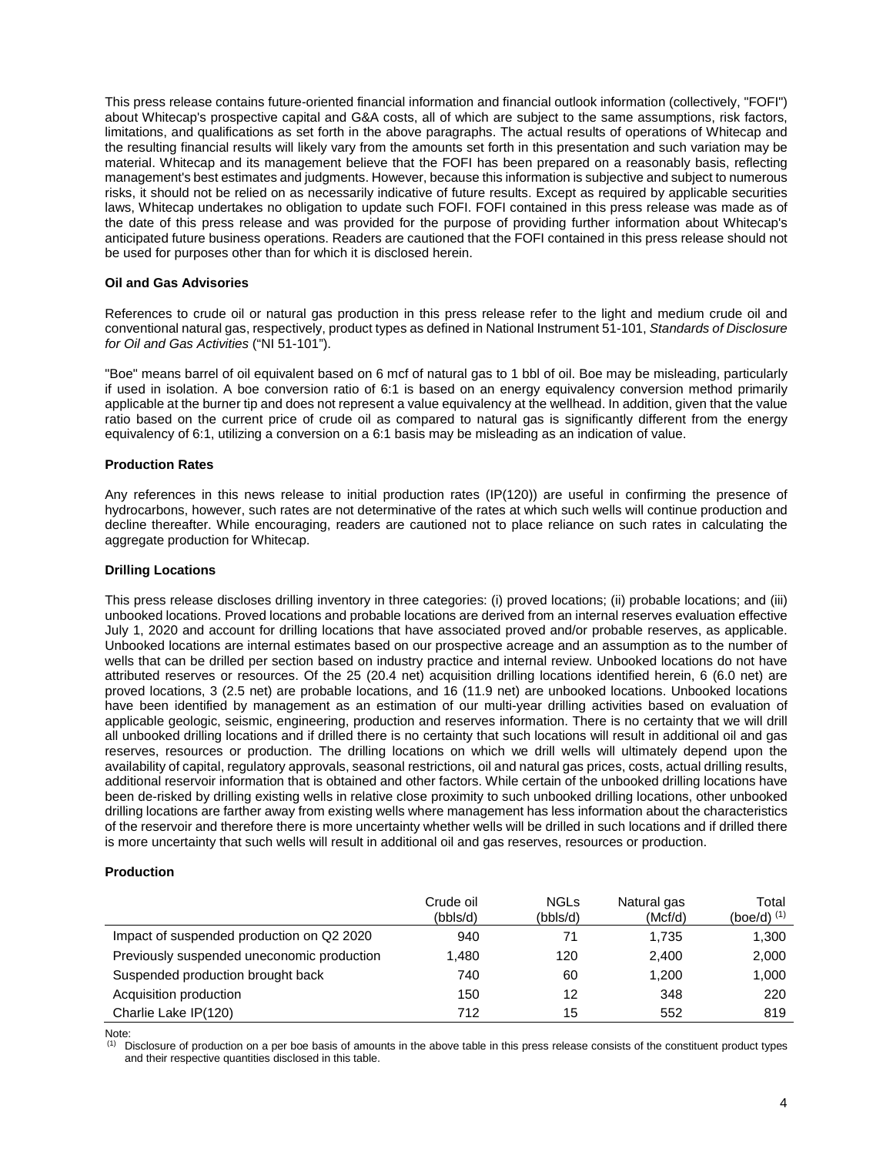This press release contains future-oriented financial information and financial outlook information (collectively, "FOFI") about Whitecap's prospective capital and G&A costs, all of which are subject to the same assumptions, risk factors, limitations, and qualifications as set forth in the above paragraphs. The actual results of operations of Whitecap and the resulting financial results will likely vary from the amounts set forth in this presentation and such variation may be material. Whitecap and its management believe that the FOFI has been prepared on a reasonably basis, reflecting management's best estimates and judgments. However, because this information is subjective and subject to numerous risks, it should not be relied on as necessarily indicative of future results. Except as required by applicable securities laws, Whitecap undertakes no obligation to update such FOFI. FOFI contained in this press release was made as of the date of this press release and was provided for the purpose of providing further information about Whitecap's anticipated future business operations. Readers are cautioned that the FOFI contained in this press release should not be used for purposes other than for which it is disclosed herein.

### **Oil and Gas Advisories**

References to crude oil or natural gas production in this press release refer to the light and medium crude oil and conventional natural gas, respectively, product types as defined in National Instrument 51-101, *Standards of Disclosure for Oil and Gas Activities* ("NI 51-101").

"Boe" means barrel of oil equivalent based on 6 mcf of natural gas to 1 bbl of oil. Boe may be misleading, particularly if used in isolation. A boe conversion ratio of 6:1 is based on an energy equivalency conversion method primarily applicable at the burner tip and does not represent a value equivalency at the wellhead. In addition, given that the value ratio based on the current price of crude oil as compared to natural gas is significantly different from the energy equivalency of 6:1, utilizing a conversion on a 6:1 basis may be misleading as an indication of value.

## **Production Rates**

Any references in this news release to initial production rates (IP(120)) are useful in confirming the presence of hydrocarbons, however, such rates are not determinative of the rates at which such wells will continue production and decline thereafter. While encouraging, readers are cautioned not to place reliance on such rates in calculating the aggregate production for Whitecap.

### **Drilling Locations**

This press release discloses drilling inventory in three categories: (i) proved locations; (ii) probable locations; and (iii) unbooked locations. Proved locations and probable locations are derived from an internal reserves evaluation effective July 1, 2020 and account for drilling locations that have associated proved and/or probable reserves, as applicable. Unbooked locations are internal estimates based on our prospective acreage and an assumption as to the number of wells that can be drilled per section based on industry practice and internal review. Unbooked locations do not have attributed reserves or resources. Of the 25 (20.4 net) acquisition drilling locations identified herein, 6 (6.0 net) are proved locations, 3 (2.5 net) are probable locations, and 16 (11.9 net) are unbooked locations. Unbooked locations have been identified by management as an estimation of our multi-year drilling activities based on evaluation of applicable geologic, seismic, engineering, production and reserves information. There is no certainty that we will drill all unbooked drilling locations and if drilled there is no certainty that such locations will result in additional oil and gas reserves, resources or production. The drilling locations on which we drill wells will ultimately depend upon the availability of capital, regulatory approvals, seasonal restrictions, oil and natural gas prices, costs, actual drilling results, additional reservoir information that is obtained and other factors. While certain of the unbooked drilling locations have been de-risked by drilling existing wells in relative close proximity to such unbooked drilling locations, other unbooked drilling locations are farther away from existing wells where management has less information about the characteristics of the reservoir and therefore there is more uncertainty whether wells will be drilled in such locations and if drilled there is more uncertainty that such wells will result in additional oil and gas reserves, resources or production.

#### **Production**

|                                            | Crude oil<br>(bbls/d) | <b>NGLs</b><br>(bbls/d) | Natural gas<br>(Mcf/d) | Total<br>(boe/d) <sup>(1)</sup> |
|--------------------------------------------|-----------------------|-------------------------|------------------------|---------------------------------|
| Impact of suspended production on Q2 2020  | 940                   | 71                      | 1.735                  | 1,300                           |
| Previously suspended uneconomic production | 1,480                 | 120                     | 2,400                  | 2,000                           |
| Suspended production brought back          | 740                   | 60                      | 1,200                  | 1,000                           |
| Acquisition production                     | 150                   | 12                      | 348                    | 220                             |
| Charlie Lake IP(120)                       | 712                   | 15                      | 552                    | 819                             |

Note:

 $<sup>(1)</sup>$  Disclosure of production on a per boe basis of amounts in the above table in this press release consists of the constituent product types</sup> and their respective quantities disclosed in this table.